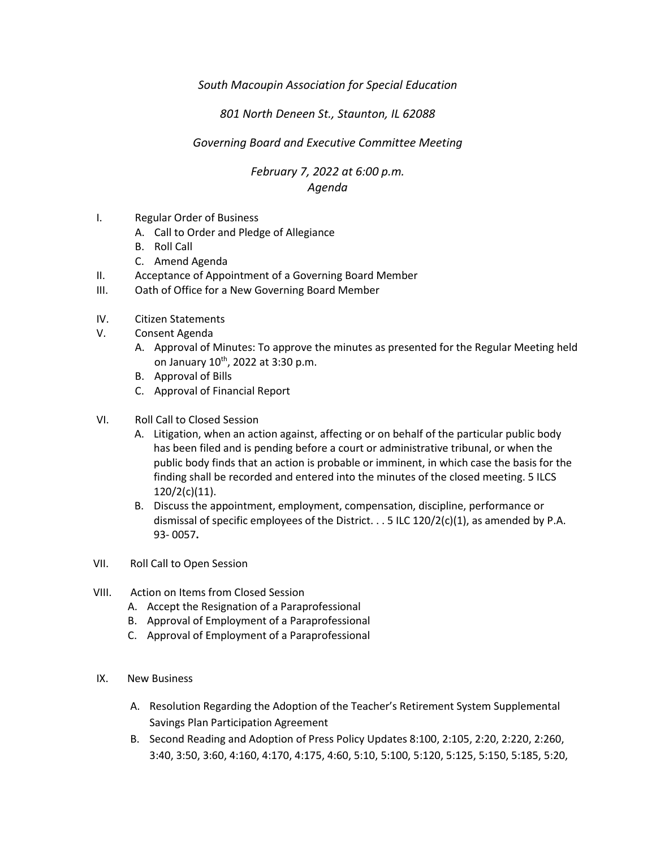## *South Macoupin Association for Special Education*

## *801 North Deneen St., Staunton, IL 62088*

## *Governing Board and Executive Committee Meeting*

## *February 7, 2022 at 6:00 p.m. Agenda*

- I. Regular Order of Business
	- A. Call to Order and Pledge of Allegiance
	- B. Roll Call
	- C. Amend Agenda
- II. Acceptance of Appointment of a Governing Board Member
- III. Oath of Office for a New Governing Board Member
- IV. Citizen Statements
- V. Consent Agenda
	- A. Approval of Minutes: To approve the minutes as presented for the Regular Meeting held on January 10<sup>th</sup>, 2022 at 3:30 p.m.
	- B. Approval of Bills
	- C. Approval of Financial Report
- VI. Roll Call to Closed Session
	- A. Litigation, when an action against, affecting or on behalf of the particular public body has been filed and is pending before a court or administrative tribunal, or when the public body finds that an action is probable or imminent, in which case the basis for the finding shall be recorded and entered into the minutes of the closed meeting. 5 ILCS 120/2(c)(11).
	- B. Discuss the appointment, employment, compensation, discipline, performance or dismissal of specific employees of the District.  $\ldots$  5 ILC 120/2(c)(1), as amended by P.A. 93- 0057**.**
- VII. Roll Call to Open Session
- VIII. Action on Items from Closed Session
	- A. Accept the Resignation of a Paraprofessional
	- B. Approval of Employment of a Paraprofessional
	- C. Approval of Employment of a Paraprofessional
- IX. New Business
	- A. Resolution Regarding the Adoption of the Teacher's Retirement System Supplemental Savings Plan Participation Agreement
	- B. Second Reading and Adoption of Press Policy Updates 8:100, 2:105, 2:20, 2:220, 2:260, 3:40, 3:50, 3:60, 4:160, 4:170, 4:175, 4:60, 5:10, 5:100, 5:120, 5:125, 5:150, 5:185, 5:20,